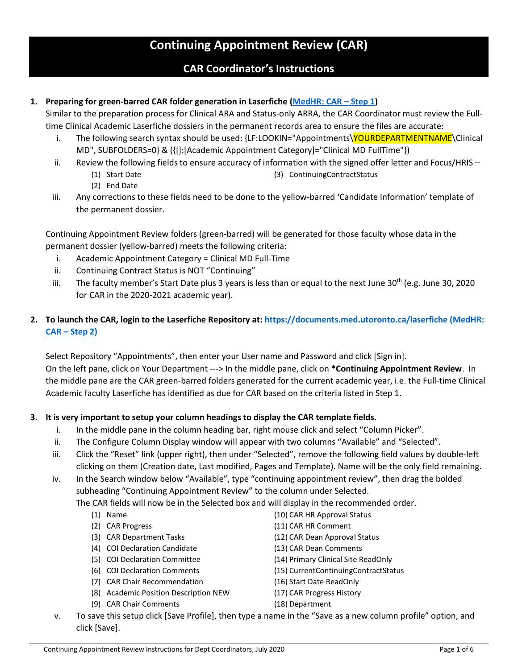# **Continuing Appointment Review (CAR)**

## **CAR Coordinator's Instructions**

## **1. Preparing for green-barred CAR folder generation in Laserfiche [\(MedHR: CAR](https://utoronto.sharepoint.com/sites/med-hr/SitePages/CAR_1-Prepare.aspx) – Step 1)**

Similar to the preparation process for Clinical ARA and Status-only ARRA, the CAR Coordinator must review the Fulltime Clinical Academic Laserfiche dossiers in the permanent records area to ensure the files are accurate:

- i. The following search syntax should be used: {LF:LOOKIN="Appointments\YOURDEPARTMENTNAME\Clinical MD", SUBFOLDERS=0} & ({[]:[Academic Appointment Category]="Clinical MD FullTime"})
- ii. Review the following fields to ensure accuracy of information with the signed offer letter and Focus/HRIS
	- (3) ContinuingContractStatus
- (1) Start Date (2) End Date
- iii. Any corrections to these fields need to be done to the yellow-barred 'Candidate Information' template of the permanent dossier.

Continuing Appointment Review folders (green-barred) will be generated for those faculty whose data in the permanent dossier (yellow-barred) meets the following criteria:

- i. Academic Appointment Category = Clinical MD Full-Time
- ii. Continuing Contract Status is NOT "Continuing"
- iii. The faculty member's Start Date plus 3 years is less than or equal to the next June 30<sup>th</sup> (e.g. June 30, 2020 for CAR in the 2020-2021 academic year).
- **2. To launch the CAR, login to the Laserfiche Repository at:<https://documents.med.utoronto.ca/laserfiche> [\(MedHR:](https://utoronto.sharepoint.com/sites/med-hr/SitePages/CAR_2-IdentifyNotify.aspx)  CAR – [Step 2\)](https://utoronto.sharepoint.com/sites/med-hr/SitePages/CAR_2-IdentifyNotify.aspx)**

Select Repository "Appointments", then enter your User name and Password and click [Sign in]. On the left pane, click on Your Department ---> In the middle pane, click on **\*Continuing Appointment Review**. In the middle pane are the CAR green-barred folders generated for the current academic year, i.e. the Full-time Clinical Academic faculty Laserfiche has identified as due for CAR based on the criteria listed in Step 1.

## **3. It is very important to setup your column headings to display the CAR template fields.**

- i. In the middle pane in the column heading bar, right mouse click and select "Column Picker".
- ii. The Configure Column Display window will appear with two columns "Available" and "Selected".
- iii. Click the "Reset" link (upper right), then under "Selected", remove the following field values by double-left clicking on them (Creation date, Last modified, Pages and Template). Name will be the only field remaining.
- iv. In the Search window below "Available", type "continuing appointment review", then drag the bolded subheading "Continuing Appointment Review" to the column under Selected.

The CAR fields will now be in the Selected box and will display in the recommended order.

- (1) Name
- (2) CAR Progress
- (3) CAR Department Tasks
- (4) COI Declaration Candidate
- (5) COI Declaration Committee
- (6) COI Declaration Comments
- (7) CAR Chair Recommendation
- (8) Academic Position Description NEW
- (9) CAR Chair Comments
- (10) CAR HR Approval Status
- (11) CAR HR Comment
- (12) CAR Dean Approval Status
- (13) CAR Dean Comments
- (14) Primary Clinical Site ReadOnly
- (15) CurrentContinuingContractStatus
- (16) Start Date ReadOnly
- (17) CAR Progress History
- (18) Department
- v. To save this setup click [Save Profile], then type a name in the "Save as a new column profile" option, and click [Save].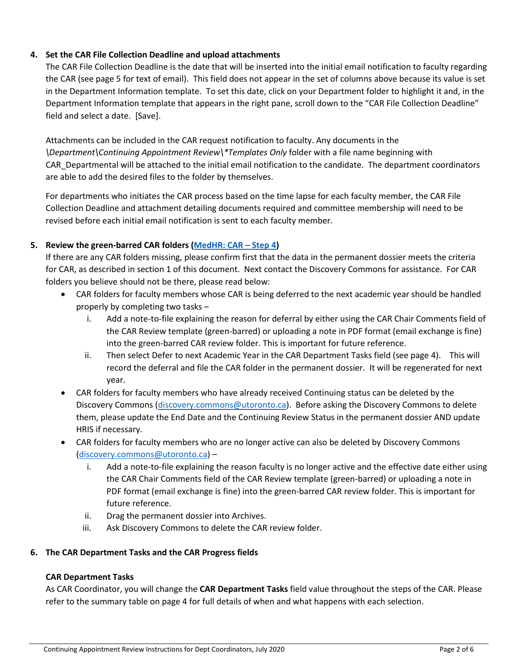## **4. Set the CAR File Collection Deadline and upload attachments**

The CAR File Collection Deadline is the date that will be inserted into the initial email notification to faculty regarding the CAR (see page 5 for text of email). This field does not appear in the set of columns above because its value is set in the Department Information template. To set this date, click on your Department folder to highlight it and, in the Department Information template that appears in the right pane, scroll down to the "CAR File Collection Deadline" field and select a date. [Save].

Attachments can be included in the CAR request notification to faculty. Any documents in the *\Department\Continuing Appointment Review\\*Templates Only* folder with a file name beginning with CAR\_Departmental will be attached to the initial email notification to the candidate. The department coordinators are able to add the desired files to the folder by themselves.

For departments who initiates the CAR process based on the time lapse for each faculty member, the CAR File Collection Deadline and attachment detailing documents required and committee membership will need to be revised before each initial email notification is sent to each faculty member.

## **5. Review the green-barred CAR folders [\(MedHR: CAR](https://utoronto.sharepoint.com/sites/med-hr/SitePages/CAR_4-Review.aspx) – Step 4)**

If there are any CAR folders missing, please confirm first that the data in the permanent dossier meets the criteria for CAR, as described in section 1 of this document. Next contact the Discovery Commons for assistance. For CAR folders you believe should not be there, please read below:

- CAR folders for faculty members whose CAR is being deferred to the next academic year should be handled properly by completing two tasks –
	- i. Add a note-to-file explaining the reason for deferral by either using the CAR Chair Comments field of the CAR Review template (green-barred) or uploading a note in PDF format (email exchange is fine) into the green-barred CAR review folder. This is important for future reference.
	- ii. Then select Defer to next Academic Year in the CAR Department Tasks field (see page 4). This will record the deferral and file the CAR folder in the permanent dossier. It will be regenerated for next year.
- CAR folders for faculty members who have already received Continuing status can be deleted by the Discovery Commons [\(discovery.commons@utoronto.ca\)](mailto:discovery.commons@utoronto.ca). Before asking the Discovery Commons to delete them, please update the End Date and the Continuing Review Status in the permanent dossier AND update HRIS if necessary.
- CAR folders for faculty members who are no longer active can also be deleted by Discovery Commons [\(discovery.commons@utoronto.ca\)](mailto:discovery.commons@utoronto.ca) –
	- i. Add a note-to-file explaining the reason faculty is no longer active and the effective date either using the CAR Chair Comments field of the CAR Review template (green-barred) or uploading a note in PDF format (email exchange is fine) into the green-barred CAR review folder. This is important for future reference.
	- ii. Drag the permanent dossier into Archives.
	- iii. Ask Discovery Commons to delete the CAR review folder.

## **6. The CAR Department Tasks and the CAR Progress fields**

## **CAR Department Tasks**

As CAR Coordinator, you will change the **CAR Department Tasks** field value throughout the steps of the CAR. Please refer to the summary table on page 4 for full details of when and what happens with each selection.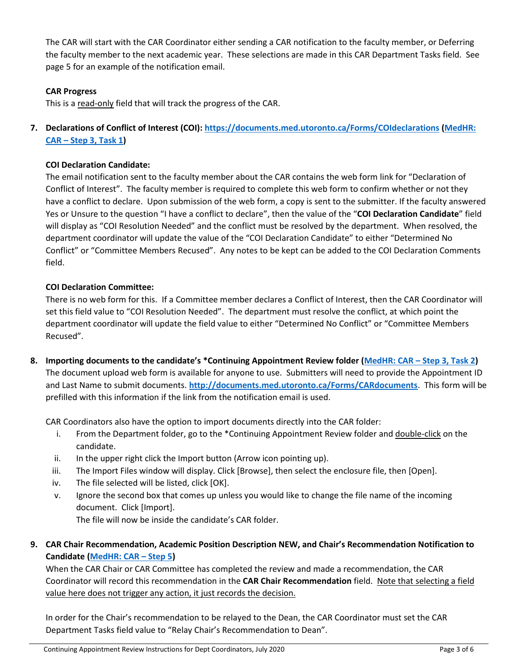The CAR will start with the CAR Coordinator either sending a CAR notification to the faculty member, or Deferring the faculty member to the next academic year. These selections are made in this CAR Department Tasks field. See page 5 for an example of the notification email.

## **CAR Progress**

This is a read-only field that will track the progress of the CAR.

**7. Declarations of Conflict of Interest (COI): <https://documents.med.utoronto.ca/Forms/COIdeclarations> [\(MedHR:](https://utoronto.sharepoint.com/sites/med-hr/SitePages/CAR_3-Collect.aspx#task-1-collect-manage-conflict-of-interest-declarations)  CAR – [Step 3, Task 1\)](https://utoronto.sharepoint.com/sites/med-hr/SitePages/CAR_3-Collect.aspx#task-1-collect-manage-conflict-of-interest-declarations)**

#### **COI Declaration Candidate:**

The email notification sent to the faculty member about the CAR contains the web form link for "Declaration of Conflict of Interest". The faculty member is required to complete this web form to confirm whether or not they have a conflict to declare. Upon submission of the web form, a copy is sent to the submitter. If the faculty answered Yes or Unsure to the question "I have a conflict to declare", then the value of the "**COI Declaration Candidate**" field will display as "COI Resolution Needed" and the conflict must be resolved by the department. When resolved, the department coordinator will update the value of the "COI Declaration Candidate" to either "Determined No Conflict" or "Committee Members Recused". Any notes to be kept can be added to the COI Declaration Comments field.

#### **COI Declaration Committee:**

There is no web form for this. If a Committee member declares a Conflict of Interest, then the CAR Coordinator will set this field value to "COI Resolution Needed". The department must resolve the conflict, at which point the department coordinator will update the field value to either "Determined No Conflict" or "Committee Members Recused".

**8. Importing documents to the candidate's \*Continuing Appointment Review folder (MedHR: CAR – [Step 3, Task 2\)](https://utoronto.sharepoint.com/sites/med-hr/SitePages/CAR_3-Collect.aspx#task-2-facilitate-collection-of-car-files)** The document upload web form is available for anyone to use. Submitters will need to provide the Appointment ID and Last Name to submit documents. **<http://documents.med.utoronto.ca/Forms/CARdocuments>**. This form will be prefilled with this information if the link from the notification email is used.

CAR Coordinators also have the option to import documents directly into the CAR folder:

- i. From the Department folder, go to the \*Continuing Appointment Review folder and double-click on the candidate.
- ii. In the upper right click the Import button (Arrow icon pointing up).
- iii. The Import Files window will display. Click [Browse], then select the enclosure file, then [Open].
- iv. The file selected will be listed, click [OK].
- v. Ignore the second box that comes up unless you would like to change the file name of the incoming document. Click [Import].

The file will now be inside the candidate's CAR folder.

**9. CAR Chair Recommendation, Academic Position Description NEW, and Chair's Recommendation Notification to Candidate [\(MedHR: CAR](https://utoronto.sharepoint.com/sites/med-hr/SitePages/CAR_5-Recommendation.aspx) – Step 5)**

When the CAR Chair or CAR Committee has completed the review and made a recommendation, the CAR Coordinator will record this recommendation in the **CAR Chair Recommendation** field. Note that selecting a field value here does not trigger any action, it just records the decision.

In order for the Chair's recommendation to be relayed to the Dean, the CAR Coordinator must set the CAR Department Tasks field value to "Relay Chair's Recommendation to Dean".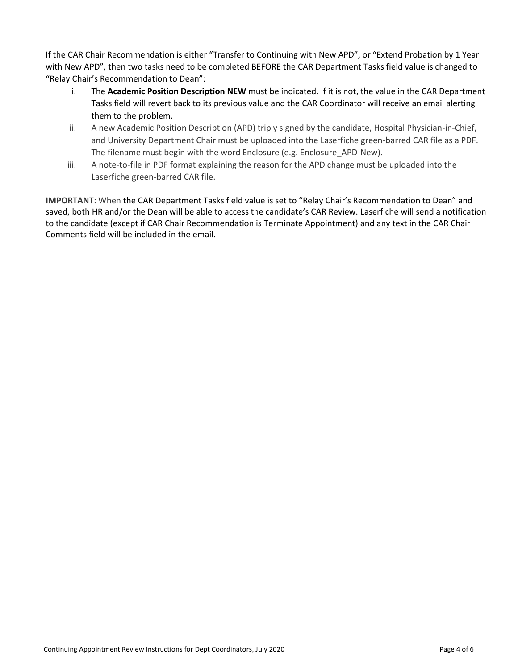If the CAR Chair Recommendation is either "Transfer to Continuing with New APD", or "Extend Probation by 1 Year with New APD", then two tasks need to be completed BEFORE the CAR Department Tasks field value is changed to "Relay Chair's Recommendation to Dean":

- i. The **Academic Position Description NEW** must be indicated. If it is not, the value in the CAR Department Tasks field will revert back to its previous value and the CAR Coordinator will receive an email alerting them to the problem.
- ii. A new Academic Position Description (APD) triply signed by the candidate, Hospital Physician-in-Chief, and University Department Chair must be uploaded into the Laserfiche green-barred CAR file as a PDF. The filename must begin with the word Enclosure (e.g. Enclosure\_APD-New).
- iii. A note-to-file in PDF format explaining the reason for the APD change must be uploaded into the Laserfiche green-barred CAR file.

**IMPORTANT**: When the CAR Department Tasks field value is set to "Relay Chair's Recommendation to Dean" and saved, both HR and/or the Dean will be able to access the candidate's CAR Review. Laserfiche will send a notification to the candidate (except if CAR Chair Recommendation is Terminate Appointment) and any text in the CAR Chair Comments field will be included in the email.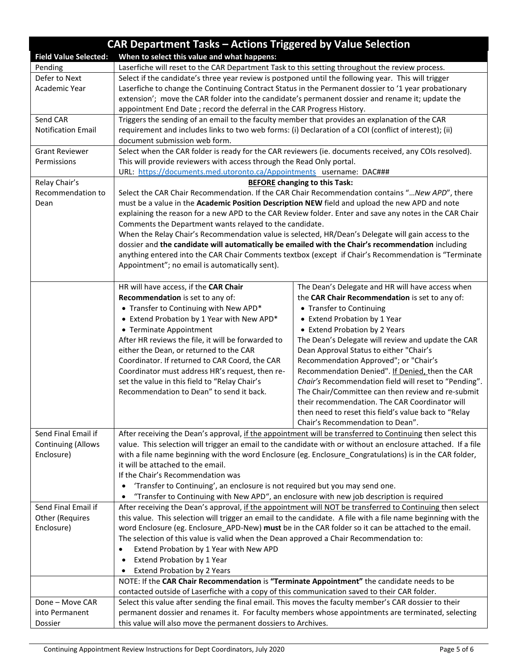| CAR Department Tasks - Actions Triggered by Value Selection                 |                                                                                                                                               |                                                                                  |
|-----------------------------------------------------------------------------|-----------------------------------------------------------------------------------------------------------------------------------------------|----------------------------------------------------------------------------------|
| When to select this value and what happens:<br><b>Field Value Selected:</b> |                                                                                                                                               |                                                                                  |
| Pending                                                                     | Laserfiche will reset to the CAR Department Task to this setting throughout the review process.                                               |                                                                                  |
| Defer to Next                                                               | Select if the candidate's three year review is postponed until the following year. This will trigger                                          |                                                                                  |
| Academic Year                                                               | Laserfiche to change the Continuing Contract Status in the Permanent dossier to '1 year probationary                                          |                                                                                  |
|                                                                             | extension'; move the CAR folder into the candidate's permanent dossier and rename it; update the                                              |                                                                                  |
|                                                                             | appointment End Date ; record the deferral in the CAR Progress History.                                                                       |                                                                                  |
| Send CAR                                                                    | Triggers the sending of an email to the faculty member that provides an explanation of the CAR                                                |                                                                                  |
| <b>Notification Email</b>                                                   | requirement and includes links to two web forms: (i) Declaration of a COI (conflict of interest); (ii)<br>document submission web form.       |                                                                                  |
| <b>Grant Reviewer</b>                                                       | Select when the CAR folder is ready for the CAR reviewers (ie. documents received, any COIs resolved).                                        |                                                                                  |
| Permissions                                                                 | This will provide reviewers with access through the Read Only portal.                                                                         |                                                                                  |
|                                                                             | URL: https://documents.med.utoronto.ca/Appointments username: DAC###                                                                          |                                                                                  |
| Relay Chair's                                                               | <b>BEFORE</b> changing to this Task:                                                                                                          |                                                                                  |
| Recommendation to                                                           | Select the CAR Chair Recommendation. If the CAR Chair Recommendation contains " New APD", there                                               |                                                                                  |
| Dean                                                                        | must be a value in the Academic Position Description NEW field and upload the new APD and note                                                |                                                                                  |
|                                                                             | explaining the reason for a new APD to the CAR Review folder. Enter and save any notes in the CAR Chair                                       |                                                                                  |
|                                                                             | Comments the Department wants relayed to the candidate.                                                                                       |                                                                                  |
|                                                                             | When the Relay Chair's Recommendation value is selected, HR/Dean's Delegate will gain access to the                                           |                                                                                  |
|                                                                             | dossier and the candidate will automatically be emailed with the Chair's recommendation including                                             |                                                                                  |
|                                                                             | anything entered into the CAR Chair Comments textbox (except if Chair's Recommendation is "Terminate                                          |                                                                                  |
|                                                                             | Appointment"; no email is automatically sent).                                                                                                |                                                                                  |
|                                                                             |                                                                                                                                               |                                                                                  |
|                                                                             | HR will have access, if the CAR Chair                                                                                                         | The Dean's Delegate and HR will have access when                                 |
|                                                                             | Recommendation is set to any of:                                                                                                              | the CAR Chair Recommendation is set to any of:                                   |
|                                                                             | • Transfer to Continuing with New APD*                                                                                                        | • Transfer to Continuing                                                         |
|                                                                             | • Extend Probation by 1 Year with New APD*                                                                                                    | • Extend Probation by 1 Year                                                     |
|                                                                             | • Terminate Appointment                                                                                                                       | • Extend Probation by 2 Years                                                    |
|                                                                             | After HR reviews the file, it will be forwarded to                                                                                            | The Dean's Delegate will review and update the CAR                               |
|                                                                             | either the Dean, or returned to the CAR<br>Coordinator. If returned to CAR Coord, the CAR                                                     | Dean Approval Status to either "Chair's<br>Recommendation Approved"; or "Chair's |
|                                                                             | Coordinator must address HR's request, then re-                                                                                               | Recommendation Denied". If Denied, then the CAR                                  |
|                                                                             | set the value in this field to "Relay Chair's                                                                                                 | Chair's Recommendation field will reset to "Pending".                            |
|                                                                             | Recommendation to Dean" to send it back.                                                                                                      | The Chair/Committee can then review and re-submit                                |
|                                                                             |                                                                                                                                               | their recommendation. The CAR Coordinator will                                   |
|                                                                             |                                                                                                                                               | then need to reset this field's value back to "Relay"                            |
|                                                                             |                                                                                                                                               | Chair's Recommendation to Dean".                                                 |
| Send Final Email if                                                         | After receiving the Dean's approval, if the appointment will be transferred to Continuing then select this                                    |                                                                                  |
| <b>Continuing (Allows</b>                                                   | value. This selection will trigger an email to the candidate with or without an enclosure attached. If a file                                 |                                                                                  |
| Enclosure)                                                                  | with a file name beginning with the word Enclosure (eg. Enclosure_Congratulations) is in the CAR folder,                                      |                                                                                  |
|                                                                             | it will be attached to the email.                                                                                                             |                                                                                  |
|                                                                             | If the Chair's Recommendation was                                                                                                             |                                                                                  |
|                                                                             | 'Transfer to Continuing', an enclosure is not required but you may send one.<br>$\bullet$                                                     |                                                                                  |
|                                                                             | "Transfer to Continuing with New APD", an enclosure with new job description is required                                                      |                                                                                  |
| Send Final Email if                                                         | After receiving the Dean's approval, if the appointment will NOT be transferred to Continuing then select                                     |                                                                                  |
| Other (Requires                                                             | this value. This selection will trigger an email to the candidate. A file with a file name beginning with the                                 |                                                                                  |
| Enclosure)                                                                  | word Enclosure (eg. Enclosure_APD-New) must be in the CAR folder so it can be attached to the email.                                          |                                                                                  |
|                                                                             | The selection of this value is valid when the Dean approved a Chair Recommendation to:                                                        |                                                                                  |
|                                                                             | Extend Probation by 1 Year with New APD<br>$\bullet$                                                                                          |                                                                                  |
|                                                                             | Extend Probation by 1 Year                                                                                                                    |                                                                                  |
|                                                                             | <b>Extend Probation by 2 Years</b><br>$\bullet$<br>NOTE: If the CAR Chair Recommendation is "Terminate Appointment" the candidate needs to be |                                                                                  |
|                                                                             | contacted outside of Laserfiche with a copy of this communication saved to their CAR folder.                                                  |                                                                                  |
| Done - Move CAR                                                             | Select this value after sending the final email. This moves the faculty member's CAR dossier to their                                         |                                                                                  |
| into Permanent                                                              | permanent dossier and renames it. For faculty members whose appointments are terminated, selecting                                            |                                                                                  |
| Dossier                                                                     | this value will also move the permanent dossiers to Archives.                                                                                 |                                                                                  |